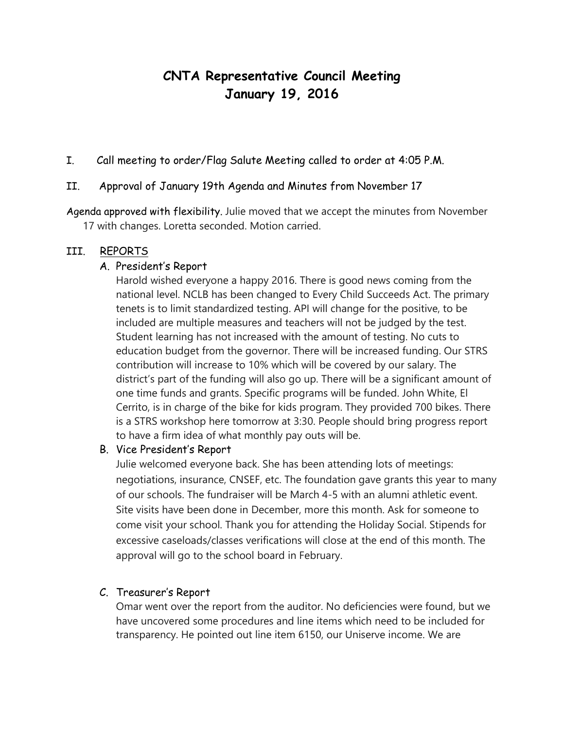# **CNTA Representative Council Meeting January 19, 2016**

I. Call meeting to order/Flag Salute Meeting called to order at 4:05 P.M.

## II. Approval of January 19th Agenda and Minutes from November 17

Agenda approved with flexibility. Julie moved that we accept the minutes from November 17 with changes. Loretta seconded. Motion carried.

### III. REPORTS

### A. President's Report

Harold wished everyone a happy 2016. There is good news coming from the national level. NCLB has been changed to Every Child Succeeds Act. The primary tenets is to limit standardized testing. API will change for the positive, to be included are multiple measures and teachers will not be judged by the test. Student learning has not increased with the amount of testing. No cuts to education budget from the governor. There will be increased funding. Our STRS contribution will increase to 10% which will be covered by our salary. The district's part of the funding will also go up. There will be a significant amount of one time funds and grants. Specific programs will be funded. John White, El Cerrito, is in charge of the bike for kids program. They provided 700 bikes. There is a STRS workshop here tomorrow at 3:30. People should bring progress report to have a firm idea of what monthly pay outs will be.

#### B. Vice President's Report

Julie welcomed everyone back. She has been attending lots of meetings: negotiations, insurance, CNSEF, etc. The foundation gave grants this year to many of our schools. The fundraiser will be March 4-5 with an alumni athletic event. Site visits have been done in December, more this month. Ask for someone to come visit your school. Thank you for attending the Holiday Social. Stipends for excessive caseloads/classes verifications will close at the end of this month. The approval will go to the school board in February.

## C. Treasurer's Report

Omar went over the report from the auditor. No deficiencies were found, but we have uncovered some procedures and line items which need to be included for transparency. He pointed out line item 6150, our Uniserve income. We are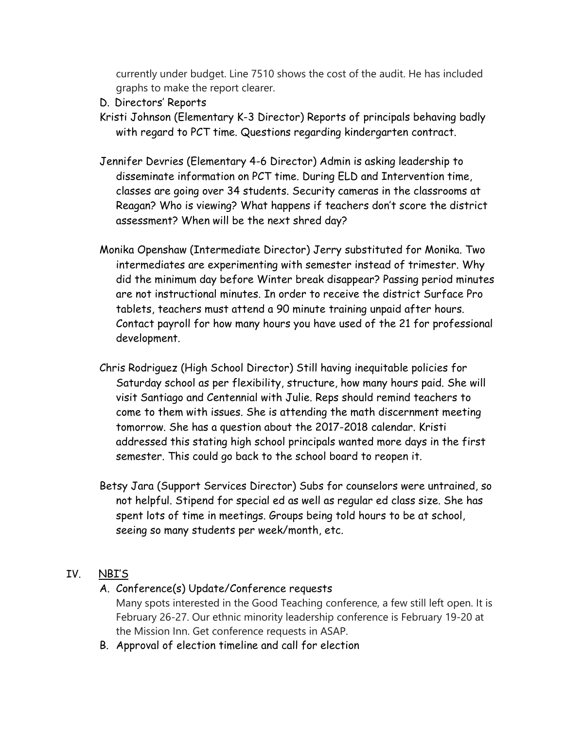currently under budget. Line 7510 shows the cost of the audit. He has included graphs to make the report clearer.

- D. Directors' Reports
- Kristi Johnson (Elementary K-3 Director) Reports of principals behaving badly with regard to PCT time. Questions regarding kindergarten contract.
- Jennifer Devries (Elementary 4-6 Director) Admin is asking leadership to disseminate information on PCT time. During ELD and Intervention time, classes are going over 34 students. Security cameras in the classrooms at Reagan? Who is viewing? What happens if teachers don't score the district assessment? When will be the next shred day?
- Monika Openshaw (Intermediate Director) Jerry substituted for Monika. Two intermediates are experimenting with semester instead of trimester. Why did the minimum day before Winter break disappear? Passing period minutes are not instructional minutes. In order to receive the district Surface Pro tablets, teachers must attend a 90 minute training unpaid after hours. Contact payroll for how many hours you have used of the 21 for professional development.
- Chris Rodriguez (High School Director) Still having inequitable policies for Saturday school as per flexibility, structure, how many hours paid. She will visit Santiago and Centennial with Julie. Reps should remind teachers to come to them with issues. She is attending the math discernment meeting tomorrow. She has a question about the 2017-2018 calendar. Kristi addressed this stating high school principals wanted more days in the first semester. This could go back to the school board to reopen it.
- Betsy Jara (Support Services Director) Subs for counselors were untrained, so not helpful. Stipend for special ed as well as regular ed class size. She has spent lots of time in meetings. Groups being told hours to be at school, seeing so many students per week/month, etc.

# IV. NBI'S

- A. Conference(s) Update/Conference requests
	- Many spots interested in the Good Teaching conference, a few still left open. It is February 26-27. Our ethnic minority leadership conference is February 19-20 at the Mission Inn. Get conference requests in ASAP.
- B. Approval of election timeline and call for election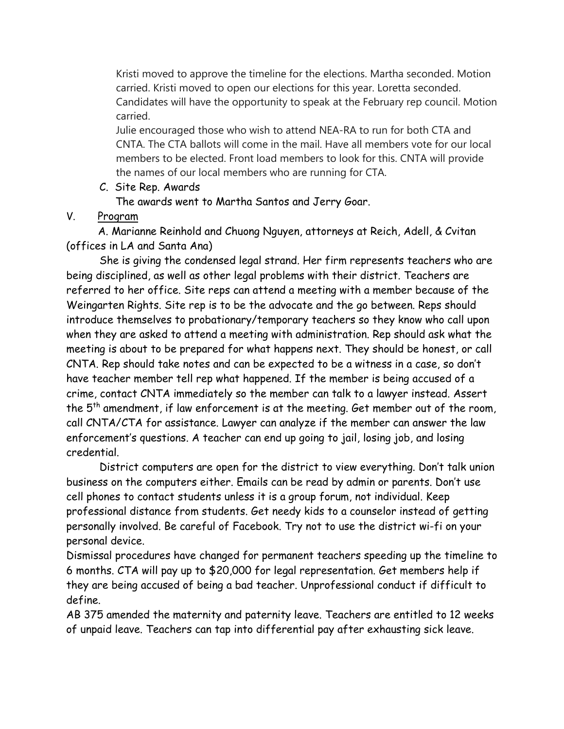Kristi moved to approve the timeline for the elections. Martha seconded. Motion carried. Kristi moved to open our elections for this year. Loretta seconded. Candidates will have the opportunity to speak at the February rep council. Motion carried.

Julie encouraged those who wish to attend NEA-RA to run for both CTA and CNTA. The CTA ballots will come in the mail. Have all members vote for our local members to be elected. Front load members to look for this. CNTA will provide the names of our local members who are running for CTA.

C. Site Rep. Awards

The awards went to Martha Santos and Jerry Goar.

# V. Program

 A. Marianne Reinhold and Chuong Nguyen, attorneys at Reich, Adell, & Cvitan (offices in LA and Santa Ana)

She is giving the condensed legal strand. Her firm represents teachers who are being disciplined, as well as other legal problems with their district. Teachers are referred to her office. Site reps can attend a meeting with a member because of the Weingarten Rights. Site rep is to be the advocate and the go between. Reps should introduce themselves to probationary/temporary teachers so they know who call upon when they are asked to attend a meeting with administration. Rep should ask what the meeting is about to be prepared for what happens next. They should be honest, or call CNTA. Rep should take notes and can be expected to be a witness in a case, so don't have teacher member tell rep what happened. If the member is being accused of a crime, contact CNTA immediately so the member can talk to a lawyer instead. Assert the 5th amendment, if law enforcement is at the meeting. Get member out of the room, call CNTA/CTA for assistance. Lawyer can analyze if the member can answer the law enforcement's questions. A teacher can end up going to jail, losing job, and losing credential.

District computers are open for the district to view everything. Don't talk union business on the computers either. Emails can be read by admin or parents. Don't use cell phones to contact students unless it is a group forum, not individual. Keep professional distance from students. Get needy kids to a counselor instead of getting personally involved. Be careful of Facebook. Try not to use the district wi-fi on your personal device.

Dismissal procedures have changed for permanent teachers speeding up the timeline to 6 months. CTA will pay up to \$20,000 for legal representation. Get members help if they are being accused of being a bad teacher. Unprofessional conduct if difficult to define.

AB 375 amended the maternity and paternity leave. Teachers are entitled to 12 weeks of unpaid leave. Teachers can tap into differential pay after exhausting sick leave.